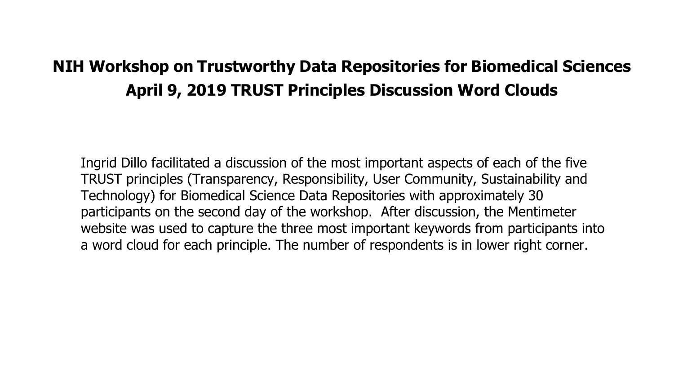# **NIH Workshop on Trustworthy Data Repositories for Biomedical Sciences April 9, 2019 TRUST Principles Discussion Word Clouds**

Ingrid Dillo facilitated a discussion of the most important aspects of each of the five TRUST principles (Transparency, Responsibility, User Community, Sustainability and Technology) for Biomedical Science Data Repositories with approximately 30 participants on the second day of the workshop. After discussion, the Mentimeter website was used to capture the three most important keywords from participants into a word cloud for each principle. The number of respondents is in lower right corner.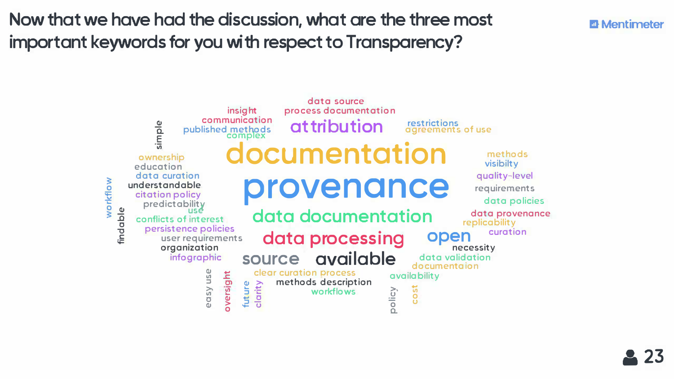Now that we have had the discussion, what are the three most important keywords for you with respect to Transparency?



### **Mentimeter**

methods visibilty quality-level requirements data policies data provenance replicability curation

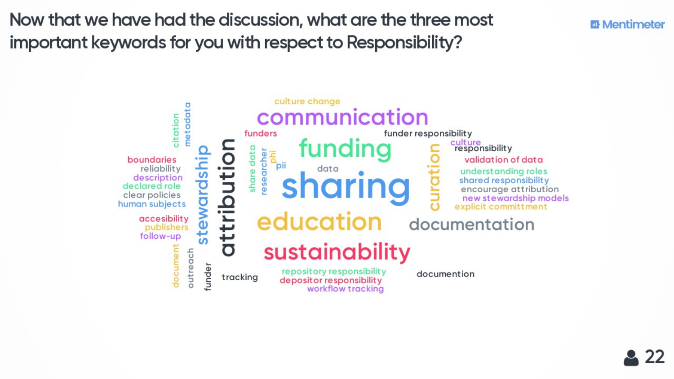Now that we have had the discussion, what are the three most important keywords for you with respect to Responsibility?



## **图 Mentimeter**

### culture<br>responsibility validation of data understanding roles shared responsibility encourage attribution new stewardship models explicit committment

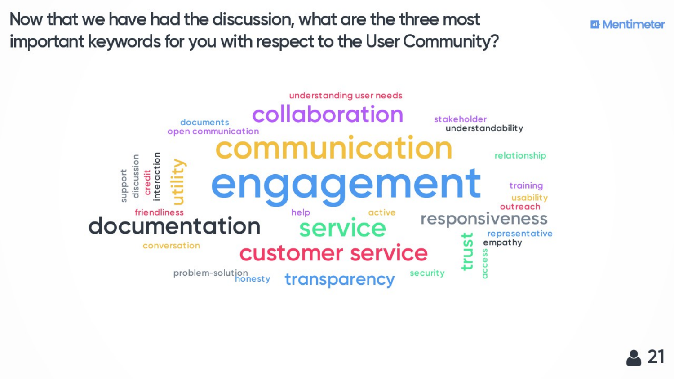Now that we have had the discussion, what are the three most important keywords for you with respect to the User Community?





### **m** Mentimeter

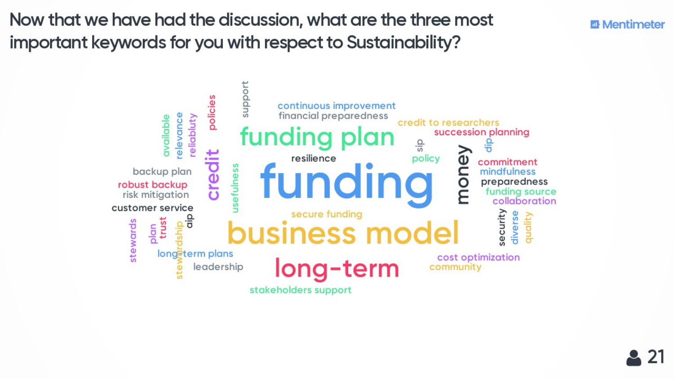Now that we have had the discussion, what are the three most important keywords for you with respect to Sustainability?



### **图 Mentimeter**

succession planning 응 commitment mindfulness preparedness funding source collaboration

security quality diverse

cost optimization